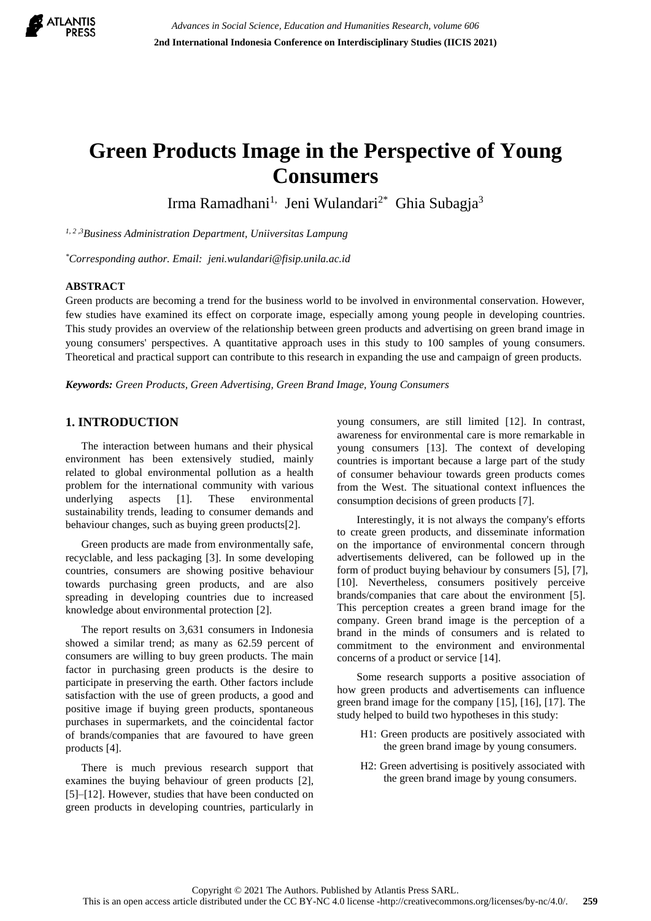

# **Green Products Image in the Perspective of Young Consumers**

Irma Ramadhani<sup>1,</sup> Jeni Wulandari<sup>2\*</sup> Ghia Subagja<sup>3</sup>

*1, 2 ,3Business Administration Department, Uniiversitas Lampung*

*\*Corresponding author. Email: jeni.wulandari@fisip.unila.ac.id*

# **ABSTRACT**

Green products are becoming a trend for the business world to be involved in environmental conservation. However, few studies have examined its effect on corporate image, especially among young people in developing countries. This study provides an overview of the relationship between green products and advertising on green brand image in young consumers' perspectives. A quantitative approach uses in this study to 100 samples of young consumers. Theoretical and practical support can contribute to this research in expanding the use and campaign of green products.

*Keywords: Green Products, Green Advertising, Green Brand Image, Young Consumers*

# **1. INTRODUCTION**

The interaction between humans and their physical environment has been extensively studied, mainly related to global environmental pollution as a health problem for the international community with various underlying aspects [1]. These environmental sustainability trends, leading to consumer demands and behaviour changes, such as buying green products[2].

Green products are made from environmentally safe, recyclable, and less packaging [3]. In some developing countries, consumers are showing positive behaviour towards purchasing green products, and are also spreading in developing countries due to increased knowledge about environmental protection [2].

The report results on 3,631 consumers in Indonesia showed a similar trend; as many as 62.59 percent of consumers are willing to buy green products. The main factor in purchasing green products is the desire to participate in preserving the earth. Other factors include satisfaction with the use of green products, a good and positive image if buying green products, spontaneous purchases in supermarkets, and the coincidental factor of brands/companies that are favoured to have green products [4].

There is much previous research support that examines the buying behaviour of green products [2], [5]–[12]. However, studies that have been conducted on green products in developing countries, particularly in young consumers, are still limited [12]. In contrast, awareness for environmental care is more remarkable in young consumers [13]. The context of developing countries is important because a large part of the study of consumer behaviour towards green products comes from the West. The situational context influences the consumption decisions of green products [7].

Interestingly, it is not always the company's efforts to create green products, and disseminate information on the importance of environmental concern through advertisements delivered, can be followed up in the form of product buying behaviour by consumers [5], [7], [10]. Nevertheless, consumers positively perceive brands/companies that care about the environment [5]. This perception creates a green brand image for the company. Green brand image is the perception of a brand in the minds of consumers and is related to commitment to the environment and environmental concerns of a product or service [14].

Some research supports a positive association of how green products and advertisements can influence green brand image for the company [15], [16], [17]. The study helped to build two hypotheses in this study:

- H1: Green products are positively associated with the green brand image by young consumers.
- H2: Green advertising is positively associated with the green brand image by young consumers.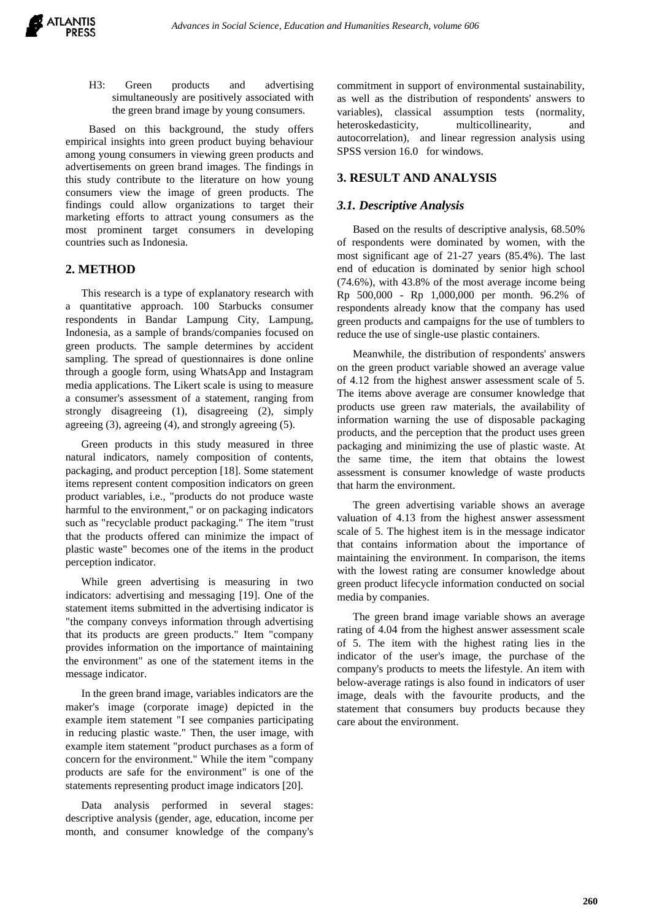H3: Green products and advertising simultaneously are positively associated with the green brand image by young consumers.

Based on this background, the study offers empirical insights into green product buying behaviour among young consumers in viewing green products and advertisements on green brand images. The findings in this study contribute to the literature on how young consumers view the image of green products. The findings could allow organizations to target their marketing efforts to attract young consumers as the most prominent target consumers in developing countries such as Indonesia.

# **2. METHOD**

This research is a type of explanatory research with a quantitative approach. 100 Starbucks consumer respondents in Bandar Lampung City, Lampung, Indonesia, as a sample of brands/companies focused on green products. The sample determines by accident sampling. The spread of questionnaires is done online through a google form, using WhatsApp and Instagram media applications. The Likert scale is using to measure a consumer's assessment of a statement, ranging from strongly disagreeing (1), disagreeing (2), simply agreeing (3), agreeing (4), and strongly agreeing (5).

Green products in this study measured in three natural indicators, namely composition of contents, packaging, and product perception [18]. Some statement items represent content composition indicators on green product variables, i.e., "products do not produce waste harmful to the environment," or on packaging indicators such as "recyclable product packaging." The item "trust that the products offered can minimize the impact of plastic waste" becomes one of the items in the product perception indicator.

While green advertising is measuring in two indicators: advertising and messaging [19]. One of the statement items submitted in the advertising indicator is "the company conveys information through advertising that its products are green products." Item "company provides information on the importance of maintaining the environment" as one of the statement items in the message indicator.

In the green brand image, variables indicators are the maker's image (corporate image) depicted in the example item statement "I see companies participating in reducing plastic waste." Then, the user image, with example item statement "product purchases as a form of concern for the environment." While the item "company products are safe for the environment" is one of the statements representing product image indicators [20].

Data analysis performed in several stages: descriptive analysis (gender, age, education, income per month, and consumer knowledge of the company's

commitment in support of environmental sustainability, as well as the distribution of respondents' answers to variables), classical assumption tests (normality, heteroskedasticity, multicollinearity, and autocorrelation), and linear regression analysis using SPSS version 16.0 for windows.

## **3. RESULT AND ANALYSIS**

## *3.1. Descriptive Analysis*

Based on the results of descriptive analysis, 68.50% of respondents were dominated by women, with the most significant age of 21-27 years (85.4%). The last end of education is dominated by senior high school (74.6%), with 43.8% of the most average income being Rp 500,000 - Rp 1,000,000 per month. 96.2% of respondents already know that the company has used green products and campaigns for the use of tumblers to reduce the use of single-use plastic containers.

Meanwhile, the distribution of respondents' answers on the green product variable showed an average value of 4.12 from the highest answer assessment scale of 5. The items above average are consumer knowledge that products use green raw materials, the availability of information warning the use of disposable packaging products, and the perception that the product uses green packaging and minimizing the use of plastic waste. At the same time, the item that obtains the lowest assessment is consumer knowledge of waste products that harm the environment.

The green advertising variable shows an average valuation of 4.13 from the highest answer assessment scale of 5. The highest item is in the message indicator that contains information about the importance of maintaining the environment. In comparison, the items with the lowest rating are consumer knowledge about green product lifecycle information conducted on social media by companies.

The green brand image variable shows an average rating of 4.04 from the highest answer assessment scale of 5. The item with the highest rating lies in the indicator of the user's image, the purchase of the company's products to meets the lifestyle. An item with below-average ratings is also found in indicators of user image, deals with the favourite products, and the statement that consumers buy products because they care about the environment.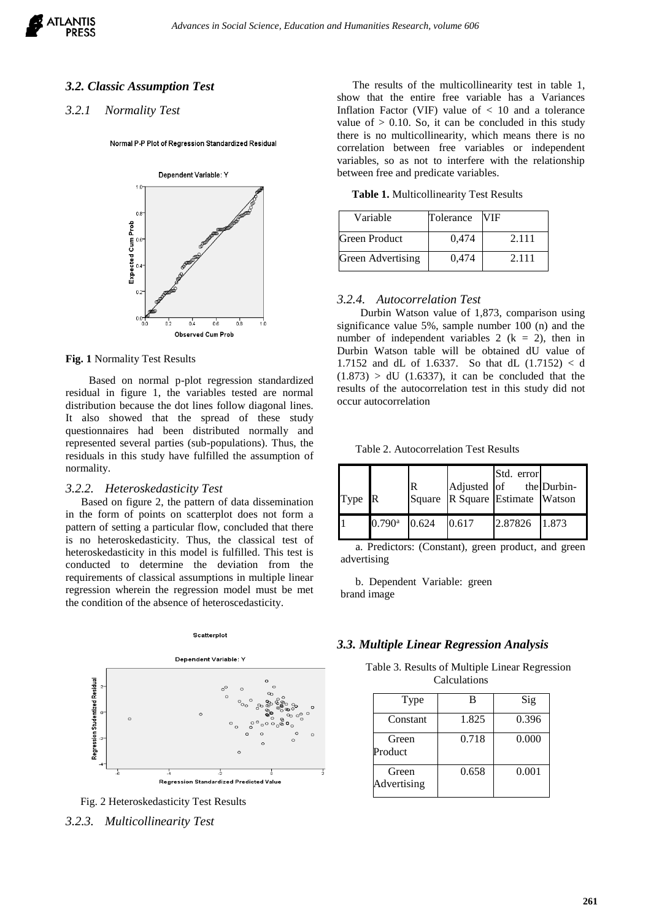## *3.2. Classic Assumption Test*

## *3.2.1 Normality Test*

Normal P-P Plot of Regression Standardized Residual



#### **Fig. 1** Normality Test Results

Based on normal p-plot regression standardized residual in figure 1, the variables tested are normal distribution because the dot lines follow diagonal lines. It also showed that the spread of these study questionnaires had been distributed normally and represented several parties (sub-populations). Thus, the residuals in this study have fulfilled the assumption of normality.

#### *3.2.2. Heteroskedasticity Test*

Based on figure 2, the pattern of data dissemination in the form of points on scatterplot does not form a pattern of setting a particular flow, concluded that there is no heteroskedasticity. Thus, the classical test of heteroskedasticity in this model is fulfilled. This test is conducted to determine the deviation from the requirements of classical assumptions in multiple linear regression wherein the regression model must be met the condition of the absence of heteroscedasticity.





The results of the multicollinearity test in table 1, show that the entire free variable has a Variances Inflation Factor (VIF) value of  $< 10$  and a tolerance value of  $> 0.10$ . So, it can be concluded in this study there is no multicollinearity, which means there is no correlation between free variables or independent variables, so as not to interfere with the relationship between free and predicate variables.

**Table 1.** Multicollinearity Test Results

| Variable                 | Tolerance | <b>VIF</b> |
|--------------------------|-----------|------------|
| Green Product            | 0.474     | 2.111      |
| <b>Green Advertising</b> | 0.474     | 2.111      |

### *3.2.4. Autocorrelation Test*

Durbin Watson value of 1,873, comparison using significance value 5%, sample number 100 (n) and the number of independent variables 2 ( $k = 2$ ), then in Durbin Watson table will be obtained dU value of 1.7152 and dL of 1.6337. So that dL (1.7152) < d  $(1.873) > dU$   $(1.6337)$ , it can be concluded that the results of the autocorrelation test in this study did not occur autocorrelation

Table 2. Autocorrelation Test Results

| Type R |                      | R     |       | Std. error<br>Adjusted of the Durbin-<br>Square R Square Estimate Watson |  |
|--------|----------------------|-------|-------|--------------------------------------------------------------------------|--|
| İ1     | $0.790$ <sup>a</sup> | 0.624 | 0.617 | 2.87826 1.873                                                            |  |

a. Predictors: (Constant), green product, and green advertising

b. Dependent Variable: green brand image

## *3.3. Multiple Linear Regression Analysis*

Table 3. Results of Multiple Linear Regression Calculations

| Type                 | в     | Sig   |
|----------------------|-------|-------|
| Constant             | 1.825 | 0.396 |
| Green<br>Product     | 0.718 | 0.000 |
| Green<br>Advertising | 0.658 | 0.001 |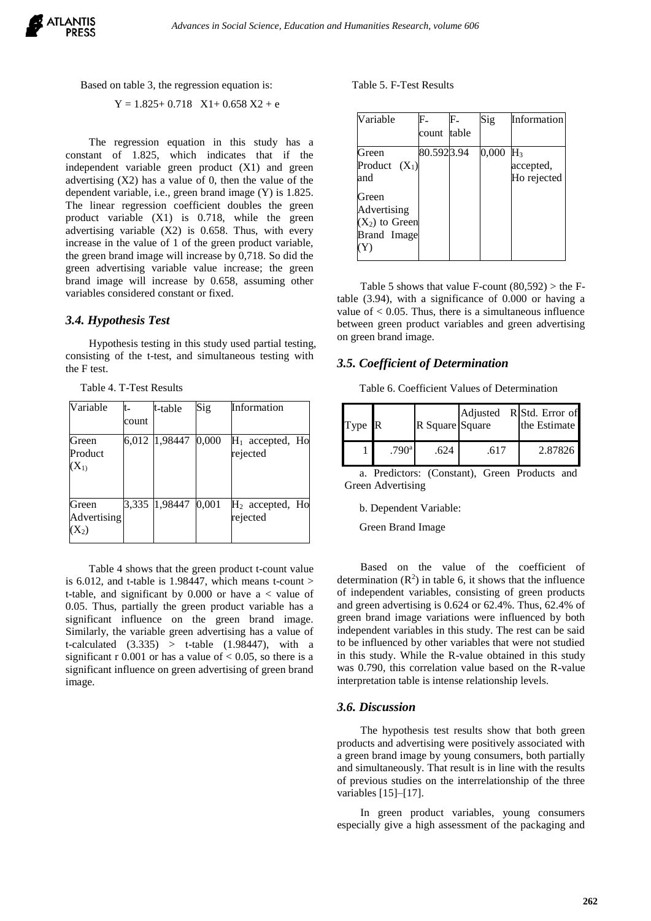#### Based on table 3, the regression equation is:

 $Y = 1.825 + 0.718$   $X1 + 0.658$   $X2 + e$ 

The regression equation in this study has a constant of 1.825, which indicates that if the independent variable green product (X1) and green advertising  $(X2)$  has a value of 0, then the value of the dependent variable, i.e., green brand image (Y) is 1.825. The linear regression coefficient doubles the green product variable (X1) is 0.718, while the green advertising variable (X2) is 0.658. Thus, with every increase in the value of 1 of the green product variable, the green brand image will increase by 0,718. So did the green advertising variable value increase; the green brand image will increase by 0.658, assuming other variables considered constant or fixed.

## *3.4. Hypothesis Test*

Hypothesis testing in this study used partial testing, consisting of the t-test, and simultaneous testing with the F test.

| Variable                        | t-<br>count | t-table        | Sig   | Information                    |
|---------------------------------|-------------|----------------|-------|--------------------------------|
| Green<br>Product<br>$(X_1)$     |             | 6,012 1,98447  | 0,000 | $H_1$ accepted, Ho<br>rejected |
| Green<br>Advertising<br>$(X_2)$ |             | 3,335  1,98447 | 0,001 | $H_2$ accepted, Ho<br>rejected |

Table 4. T-Test Results

Table 4 shows that the green product t-count value is 6.012, and t-table is 1.98447, which means t-count  $>$ t-table, and significant by 0.000 or have a < value of 0.05. Thus, partially the green product variable has a significant influence on the green brand image. Similarly, the variable green advertising has a value of t-calculated  $(3.335) >$  t-table  $(1.98447)$ , with a significant r 0.001 or has a value of  $< 0.05$ , so there is a significant influence on green advertising of green brand image.

#### Table 5. F-Test Results

| Variable         | $\mathbf{F}_{-}$ |       | Sig   | Information |
|------------------|------------------|-------|-------|-------------|
|                  | count            | table |       |             |
| Green            | 80.5923.94       |       | 0,000 | $H_3$       |
| Product $(X_1)$  |                  |       |       | accepted,   |
| and              |                  |       |       | Ho rejected |
| Green            |                  |       |       |             |
| Advertising      |                  |       |       |             |
| $(X_2)$ to Green |                  |       |       |             |
| Brand Image      |                  |       |       |             |
|                  |                  |       |       |             |

Table 5 shows that value F-count  $(80.592) >$  the Ftable (3.94), with a significance of 0.000 or having a value of  $< 0.05$ . Thus, there is a simultaneous influence between green product variables and green advertising on green brand image.

## *3.5. Coefficient of Determination*

Table 6. Coefficient Values of Determination

| Type R |                   | R Square Square |      | Adjusted R Std. Error of<br>the Estimate |
|--------|-------------------|-----------------|------|------------------------------------------|
|        | .790 <sup>a</sup> | .624            | .617 | 2.87826                                  |

a. Predictors: (Constant), Green Products and Green Advertising

b. Dependent Variable:

Green Brand Image

Based on the value of the coefficient of determination  $(R^2)$  in table 6, it shows that the influence of independent variables, consisting of green products and green advertising is 0.624 or 62.4%. Thus, 62.4% of green brand image variations were influenced by both independent variables in this study. The rest can be said to be influenced by other variables that were not studied in this study. While the R-value obtained in this study was 0.790, this correlation value based on the R-value interpretation table is intense relationship levels.

#### *3.6. Discussion*

The hypothesis test results show that both green products and advertising were positively associated with a green brand image by young consumers, both partially and simultaneously. That result is in line with the results of previous studies on the interrelationship of the three variables [15]–[17].

In green product variables, young consumers especially give a high assessment of the packaging and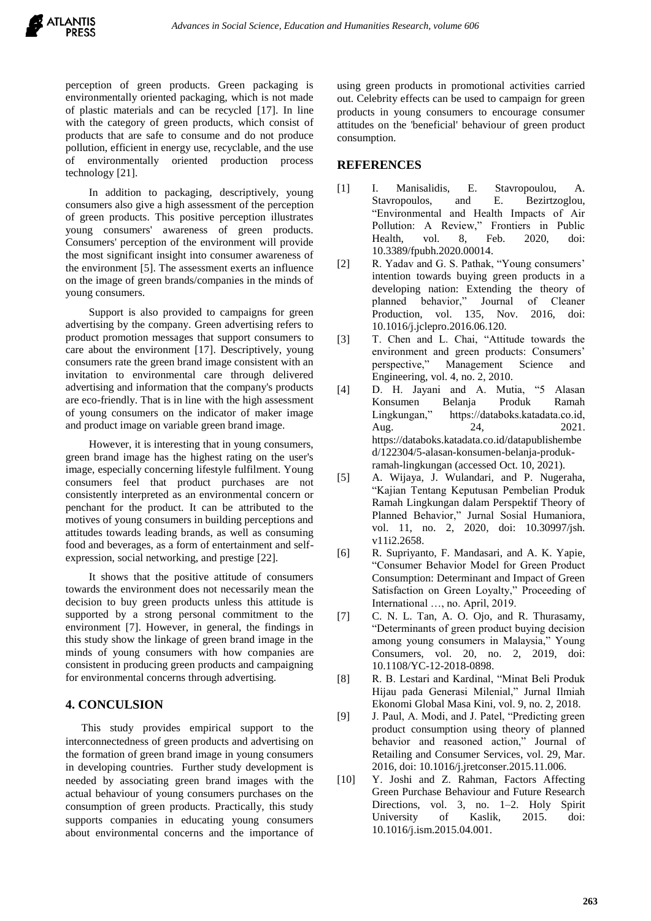perception of green products. Green packaging is environmentally oriented packaging, which is not made of plastic materials and can be recycled [17]. In line with the category of green products, which consist of products that are safe to consume and do not produce pollution, efficient in energy use, recyclable, and the use of environmentally oriented production process technology [21].

In addition to packaging, descriptively, young consumers also give a high assessment of the perception of green products. This positive perception illustrates young consumers' awareness of green products. Consumers' perception of the environment will provide the most significant insight into consumer awareness of the environment [5]. The assessment exerts an influence on the image of green brands/companies in the minds of young consumers.

Support is also provided to campaigns for green advertising by the company. Green advertising refers to product promotion messages that support consumers to care about the environment [17]. Descriptively, young consumers rate the green brand image consistent with an invitation to environmental care through delivered advertising and information that the company's products are eco-friendly. That is in line with the high assessment of young consumers on the indicator of maker image and product image on variable green brand image.

However, it is interesting that in young consumers, green brand image has the highest rating on the user's image, especially concerning lifestyle fulfilment. Young consumers feel that product purchases are not consistently interpreted as an environmental concern or penchant for the product. It can be attributed to the motives of young consumers in building perceptions and attitudes towards leading brands, as well as consuming food and beverages, as a form of entertainment and selfexpression, social networking, and prestige [22].

It shows that the positive attitude of consumers towards the environment does not necessarily mean the decision to buy green products unless this attitude is supported by a strong personal commitment to the environment [7]. However, in general, the findings in this study show the linkage of green brand image in the minds of young consumers with how companies are consistent in producing green products and campaigning for environmental concerns through advertising.

## **4. CONCULSION**

This study provides empirical support to the interconnectedness of green products and advertising on the formation of green brand image in young consumers in developing countries. Further study development is needed by associating green brand images with the actual behaviour of young consumers purchases on the consumption of green products. Practically, this study supports companies in educating young consumers about environmental concerns and the importance of using green products in promotional activities carried out. Celebrity effects can be used to campaign for green products in young consumers to encourage consumer attitudes on the 'beneficial' behaviour of green product consumption.

## **REFERENCES**

- [1] I. Manisalidis, E. Stavropoulou, A. Stavropoulos, and E. Bezirtzoglou, "Environmental and Health Impacts of Air Pollution: A Review," Frontiers in Public Health, vol. 8, Feb. 2020, doi: 10.3389/fpubh.2020.00014.
- [2] R. Yadav and G. S. Pathak, "Young consumers" intention towards buying green products in a developing nation: Extending the theory of planned behavior," Journal of Cleaner Production, vol. 135, Nov. 2016, doi: 10.1016/j.jclepro.2016.06.120.
- [3] T. Chen and L. Chai, "Attitude towards the environment and green products: Consumers' perspective," Management Science and Engineering, vol. 4, no. 2, 2010.
- [4] D. H. Jayani and A. Mutia, "5 Alasan Konsumen Belanja Produk Ramah Lingkungan," https://databoks.katadata.co.id, Aug. 24, 2021. https://databoks.katadata.co.id/datapublishembe d/122304/5-alasan-konsumen-belanja-produkramah-lingkungan (accessed Oct. 10, 2021).
- [5] A. Wijaya, J. Wulandari, and P. Nugeraha, "Kajian Tentang Keputusan Pembelian Produk Ramah Lingkungan dalam Perspektif Theory of Planned Behavior," Jurnal Sosial Humaniora, vol. 11, no. 2, 2020, doi: 10.30997/jsh. v11i2.2658.
- [6] R. Supriyanto, F. Mandasari, and A. K. Yapie, "Consumer Behavior Model for Green Product Consumption: Determinant and Impact of Green Satisfaction on Green Loyalty," Proceeding of International …, no. April, 2019.
- [7] C. N. L. Tan, A. O. Ojo, and R. Thurasamy, "Determinants of green product buying decision among young consumers in Malaysia," Young Consumers, vol. 20, no. 2, 2019, doi: 10.1108/YC-12-2018-0898.
- [8] R. B. Lestari and Kardinal, "Minat Beli Produk Hijau pada Generasi Milenial," Jurnal Ilmiah Ekonomi Global Masa Kini, vol. 9, no. 2, 2018.
- [9] J. Paul, A. Modi, and J. Patel, "Predicting green product consumption using theory of planned behavior and reasoned action," Journal of Retailing and Consumer Services, vol. 29, Mar. 2016, doi: 10.1016/j.jretconser.2015.11.006.
- [10] Y. Joshi and Z. Rahman, Factors Affecting Green Purchase Behaviour and Future Research Directions, vol. 3, no. 1–2. Holy Spirit University of Kaslik, 2015. doi: 10.1016/j.ism.2015.04.001.